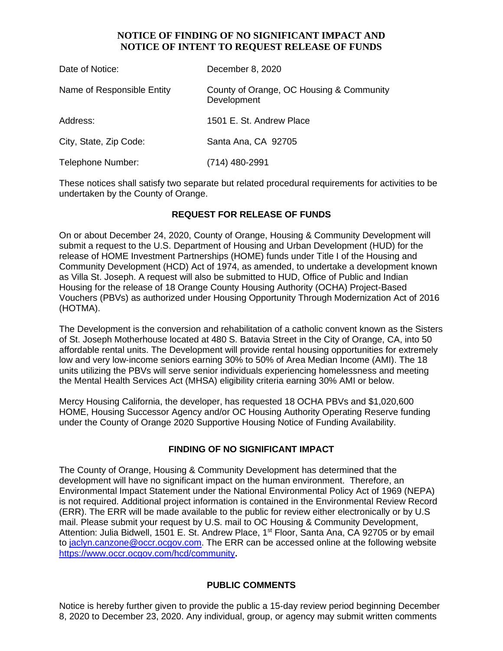### **NOTICE OF FINDING OF NO SIGNIFICANT IMPACT AND NOTICE OF INTENT TO REQUEST RELEASE OF FUNDS**

| Date of Notice:            | December 8, 2020                                        |
|----------------------------|---------------------------------------------------------|
| Name of Responsible Entity | County of Orange, OC Housing & Community<br>Development |
| Address:                   | 1501 E. St. Andrew Place                                |
| City, State, Zip Code:     | Santa Ana, CA 92705                                     |
| Telephone Number:          | (714) 480-2991                                          |

These notices shall satisfy two separate but related procedural requirements for activities to be undertaken by the County of Orange.

## **REQUEST FOR RELEASE OF FUNDS**

On or about December 24, 2020, County of Orange, Housing & Community Development will submit a request to the U.S. Department of Housing and Urban Development (HUD) for the release of HOME Investment Partnerships (HOME) funds under Title I of the Housing and Community Development (HCD) Act of 1974, as amended, to undertake a development known as Villa St. Joseph. A request will also be submitted to HUD, Office of Public and Indian Housing for the release of 18 Orange County Housing Authority (OCHA) Project-Based Vouchers (PBVs) as authorized under Housing Opportunity Through Modernization Act of 2016 (HOTMA).

The Development is the conversion and rehabilitation of a catholic convent known as the Sisters of St. Joseph Motherhouse located at 480 S. Batavia Street in the City of Orange, CA, into 50 affordable rental units. The Development will provide rental housing opportunities for extremely low and very low-income seniors earning 30% to 50% of Area Median Income (AMI). The 18 units utilizing the PBVs will serve senior individuals experiencing homelessness and meeting the Mental Health Services Act (MHSA) eligibility criteria earning 30% AMI or below.

Mercy Housing California, the developer, has requested 18 OCHA PBVs and \$1,020,600 HOME, Housing Successor Agency and/or OC Housing Authority Operating Reserve funding under the County of Orange 2020 Supportive Housing Notice of Funding Availability.

#### **FINDING OF NO SIGNIFICANT IMPACT**

The County of Orange, Housing & Community Development has determined that the development will have no significant impact on the human environment. Therefore, an Environmental Impact Statement under the National Environmental Policy Act of 1969 (NEPA) is not required. Additional project information is contained in the Environmental Review Record (ERR). The ERR will be made available to the public for review either electronically or by U.S mail. Please submit your request by U.S. mail to OC Housing & Community Development, Attention: Julia Bidwell, 1501 E. St. Andrew Place, 1<sup>st</sup> Floor, Santa Ana, CA 92705 or by email to [jaclyn.canzone@occr.ocgov.com.](mailto:jaclyn.canzone@occr.ocgov.com) The ERR can be accessed online at the following website https://www.occr.ocgov.com/hcd/community**.**

#### **PUBLIC COMMENTS**

Notice is hereby further given to provide the public a 15-day review period beginning December 8, 2020 to December 23, 2020. Any individual, group, or agency may submit written comments